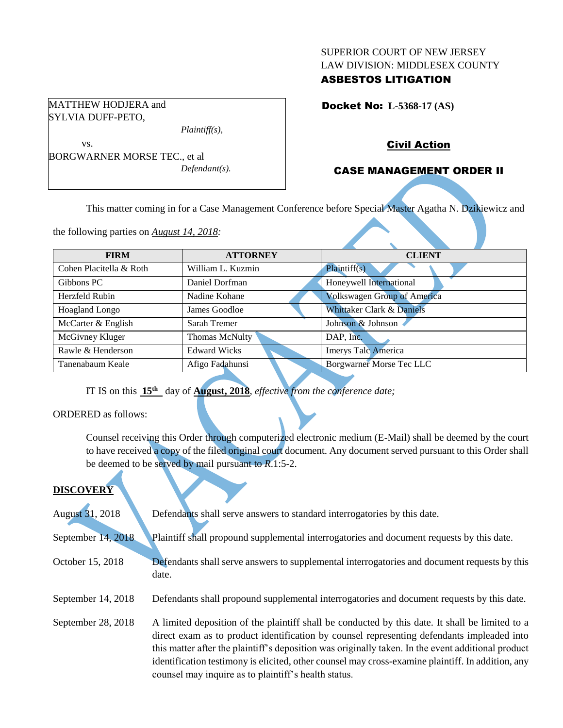#### SUPERIOR COURT OF NEW JERSEY LAW DIVISION: MIDDLESEX COUNTY

# ASBESTOS LITIGATION

Docket No: **L-5368-17 (AS)** 

### Civil Action

### CASE MANAGEMENT ORDER II

This matter coming in for a Case Management Conference before Special Master Agatha N. Dzikiewicz and

the following parties on *August 14, 2018:*

BORGWARNER MORSE TEC., et al

*Plaintiff(s),*

*Defendant(s).*

MATTHEW HODJERA and SYLVIA DUFF-PETO,

vs.

| <b>FIRM</b>             | <b>ATTORNEY</b>     | <b>CLIENT</b>                      |
|-------------------------|---------------------|------------------------------------|
| Cohen Placitella & Roth | William L. Kuzmin   | Plaintiff(s)                       |
| Gibbons PC              | Daniel Dorfman      | Honeywell International            |
| Herzfeld Rubin          | Nadine Kohane       | <b>Volkswagen Group of America</b> |
| <b>Hoagland Longo</b>   | James Goodloe       | Whittaker Clark & Daniels          |
| McCarter & English      | Sarah Tremer        | Johnson & Johnson                  |
| McGivney Kluger         | Thomas McNulty      | DAP, Inc.                          |
| Rawle & Henderson       | <b>Edward Wicks</b> | <b>Imerys Talc America</b>         |
| Tanenabaum Keale        | Afigo Fadahunsi     | <b>Borgwarner Morse Tec LLC</b>    |
|                         |                     |                                    |

IT IS on this **15th** day of **August, 2018**, *effective from the conference date;*

ORDERED as follows:

Counsel receiving this Order through computerized electronic medium (E-Mail) shall be deemed by the court to have received a copy of the filed original court document. Any document served pursuant to this Order shall be deemed to be served by mail pursuant to *R*.1:5-2.

#### **DISCOVERY**

| August 31, 2018    | Defendants shall serve answers to standard interrogatories by this date.                                                                                                                                                                                                                                                                                                                                                                                         |
|--------------------|------------------------------------------------------------------------------------------------------------------------------------------------------------------------------------------------------------------------------------------------------------------------------------------------------------------------------------------------------------------------------------------------------------------------------------------------------------------|
| September 14, 2018 | Plaintiff shall propound supplemental interrogatories and document requests by this date.                                                                                                                                                                                                                                                                                                                                                                        |
| October 15, 2018   | Defendants shall serve answers to supplemental interrogatories and document requests by this<br>date.                                                                                                                                                                                                                                                                                                                                                            |
| September 14, 2018 | Defendants shall propound supplemental interrogatories and document requests by this date.                                                                                                                                                                                                                                                                                                                                                                       |
| September 28, 2018 | A limited deposition of the plaintiff shall be conducted by this date. It shall be limited to a<br>direct exam as to product identification by counsel representing defendants impleaded into<br>this matter after the plaintiff's deposition was originally taken. In the event additional product<br>identification testimony is elicited, other counsel may cross-examine plaintiff. In addition, any<br>counsel may inquire as to plaintiff's health status. |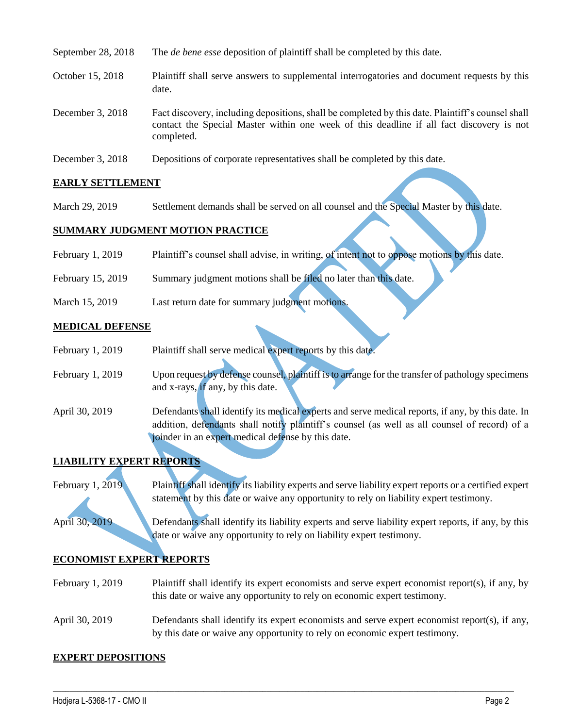| September 28, 2018 | The <i>de bene esse</i> deposition of plaintiff shall be completed by this date.                                                                                                                            |
|--------------------|-------------------------------------------------------------------------------------------------------------------------------------------------------------------------------------------------------------|
| October 15, 2018   | Plaintiff shall serve answers to supplemental interrogatories and document requests by this<br>date.                                                                                                        |
| December 3, 2018   | Fact discovery, including depositions, shall be completed by this date. Plaintiff's counsel shall<br>contact the Special Master within one week of this deadline if all fact discovery is not<br>completed. |
| December 3, 2018   | Depositions of corporate representatives shall be completed by this date.                                                                                                                                   |

### **EARLY SETTLEMENT**

March 29, 2019 Settlement demands shall be served on all counsel and the Special Master by this date.

#### **SUMMARY JUDGMENT MOTION PRACTICE**

| February 1, 2019 | Plaintiff's counsel shall advise, in writing, of intent not to oppose motions by this date. |  |  |  |  |  |  |
|------------------|---------------------------------------------------------------------------------------------|--|--|--|--|--|--|
|------------------|---------------------------------------------------------------------------------------------|--|--|--|--|--|--|

- February 15, 2019 Summary judgment motions shall be filed no later than this date.
- March 15, 2019 Last return date for summary judgment motions.

#### **MEDICAL DEFENSE**

| February 1, 2019 | Plaintiff shall serve medical expert reports by this date.                                        |
|------------------|---------------------------------------------------------------------------------------------------|
|                  |                                                                                                   |
| February 1, 2019 | Upon request by defense counsel, plaintiff is to arrange for the transfer of pathology specimens  |
|                  | and x-rays, $if$ any, by this date.                                                               |
| April 30, 2019   | Defendants shall identify its medical experts and serve medical reports, if any, by this date. In |
|                  | addition, defendants shall notify plaintiff's counsel (as well as all counsel of record) of a     |
|                  | joinder in an expert medical defense by this date.                                                |

# **LIABILITY EXPERT REPORTS**

February 1, 2019 Plaintiff shall identify its liability experts and serve liability expert reports or a certified expert statement by this date or waive any opportunity to rely on liability expert testimony.

April 30, 2019 Defendants shall identify its liability experts and serve liability expert reports, if any, by this date or waive any opportunity to rely on liability expert testimony.

#### **ECONOMIST EXPERT REPORTS**

- February 1, 2019 Plaintiff shall identify its expert economists and serve expert economist report(s), if any, by this date or waive any opportunity to rely on economic expert testimony.
- April 30, 2019 Defendants shall identify its expert economists and serve expert economist report(s), if any, by this date or waive any opportunity to rely on economic expert testimony.

 $\_$  ,  $\_$  ,  $\_$  ,  $\_$  ,  $\_$  ,  $\_$  ,  $\_$  ,  $\_$  ,  $\_$  ,  $\_$  ,  $\_$  ,  $\_$  ,  $\_$  ,  $\_$  ,  $\_$  ,  $\_$  ,  $\_$  ,  $\_$  ,  $\_$  ,  $\_$  ,  $\_$  ,  $\_$  ,  $\_$  ,  $\_$  ,  $\_$  ,  $\_$  ,  $\_$  ,  $\_$  ,  $\_$  ,  $\_$  ,  $\_$  ,  $\_$  ,  $\_$  ,  $\_$  ,  $\_$  ,  $\_$  ,  $\_$  ,

#### **EXPERT DEPOSITIONS**